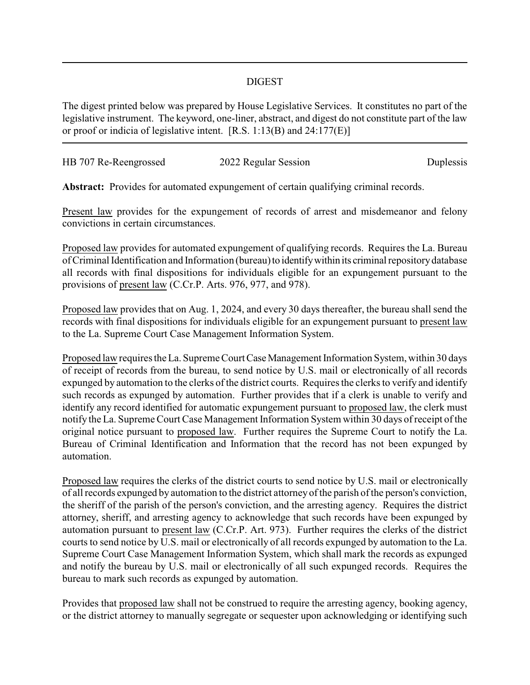## DIGEST

The digest printed below was prepared by House Legislative Services. It constitutes no part of the legislative instrument. The keyword, one-liner, abstract, and digest do not constitute part of the law or proof or indicia of legislative intent. [R.S. 1:13(B) and 24:177(E)]

| HB 707 Re-Reengrossed | 2022 Regular Session | Duplessis |
|-----------------------|----------------------|-----------|
|                       |                      |           |

**Abstract:** Provides for automated expungement of certain qualifying criminal records.

Present law provides for the expungement of records of arrest and misdemeanor and felony convictions in certain circumstances.

Proposed law provides for automated expungement of qualifying records. Requires the La. Bureau of Criminal Identification and Information (bureau) to identify within its criminal repository database all records with final dispositions for individuals eligible for an expungement pursuant to the provisions of present law (C.Cr.P. Arts. 976, 977, and 978).

Proposed law provides that on Aug. 1, 2024, and every 30 days thereafter, the bureau shall send the records with final dispositions for individuals eligible for an expungement pursuant to present law to the La. Supreme Court Case Management Information System.

Proposed law requires the La. Supreme Court Case Management Information System, within 30 days of receipt of records from the bureau, to send notice by U.S. mail or electronically of all records expunged by automation to the clerks of the district courts. Requires the clerks to verify and identify such records as expunged by automation. Further provides that if a clerk is unable to verify and identify any record identified for automatic expungement pursuant to proposed law, the clerk must notify the La. Supreme Court Case Management Information System within 30 days of receipt of the original notice pursuant to proposed law. Further requires the Supreme Court to notify the La. Bureau of Criminal Identification and Information that the record has not been expunged by automation.

Proposed law requires the clerks of the district courts to send notice by U.S. mail or electronically of all records expunged by automation to the district attorneyof the parish of the person's conviction, the sheriff of the parish of the person's conviction, and the arresting agency. Requires the district attorney, sheriff, and arresting agency to acknowledge that such records have been expunged by automation pursuant to present law (C.Cr.P. Art. 973). Further requires the clerks of the district courts to send notice by U.S. mail or electronically of all records expunged by automation to the La. Supreme Court Case Management Information System, which shall mark the records as expunged and notify the bureau by U.S. mail or electronically of all such expunged records. Requires the bureau to mark such records as expunged by automation.

Provides that proposed law shall not be construed to require the arresting agency, booking agency, or the district attorney to manually segregate or sequester upon acknowledging or identifying such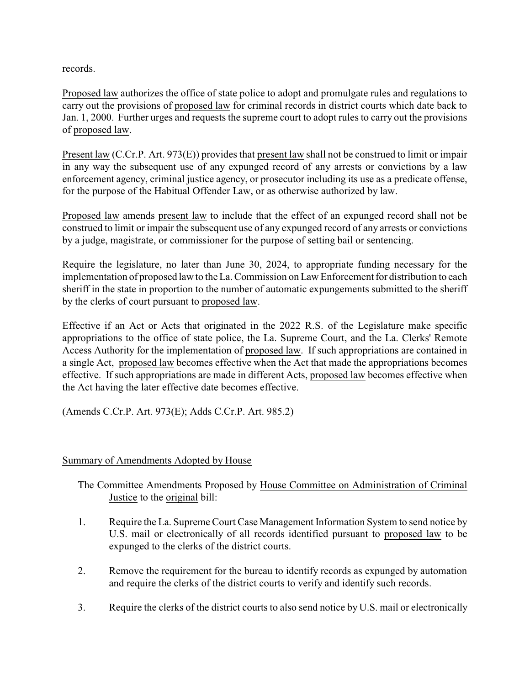records.

Proposed law authorizes the office of state police to adopt and promulgate rules and regulations to carry out the provisions of proposed law for criminal records in district courts which date back to Jan. 1, 2000. Further urges and requests the supreme court to adopt rules to carry out the provisions of proposed law.

Present law (C.Cr.P. Art. 973(E)) provides that present law shall not be construed to limit or impair in any way the subsequent use of any expunged record of any arrests or convictions by a law enforcement agency, criminal justice agency, or prosecutor including its use as a predicate offense, for the purpose of the Habitual Offender Law, or as otherwise authorized by law.

Proposed law amends present law to include that the effect of an expunged record shall not be construed to limit or impair the subsequent use of any expunged record of any arrests or convictions by a judge, magistrate, or commissioner for the purpose of setting bail or sentencing.

Require the legislature, no later than June 30, 2024, to appropriate funding necessary for the implementation of proposed law to the La. Commission on Law Enforcement for distribution to each sheriff in the state in proportion to the number of automatic expungements submitted to the sheriff by the clerks of court pursuant to proposed law.

Effective if an Act or Acts that originated in the 2022 R.S. of the Legislature make specific appropriations to the office of state police, the La. Supreme Court, and the La. Clerks' Remote Access Authority for the implementation of proposed law. If such appropriations are contained in a single Act, proposed law becomes effective when the Act that made the appropriations becomes effective. If such appropriations are made in different Acts, proposed law becomes effective when the Act having the later effective date becomes effective.

(Amends C.Cr.P. Art. 973(E); Adds C.Cr.P. Art. 985.2)

## Summary of Amendments Adopted by House

The Committee Amendments Proposed by House Committee on Administration of Criminal Justice to the original bill:

- 1. Require the La. Supreme Court Case Management Information System to send notice by U.S. mail or electronically of all records identified pursuant to proposed law to be expunged to the clerks of the district courts.
- 2. Remove the requirement for the bureau to identify records as expunged by automation and require the clerks of the district courts to verify and identify such records.
- 3. Require the clerks of the district courts to also send notice by U.S. mail or electronically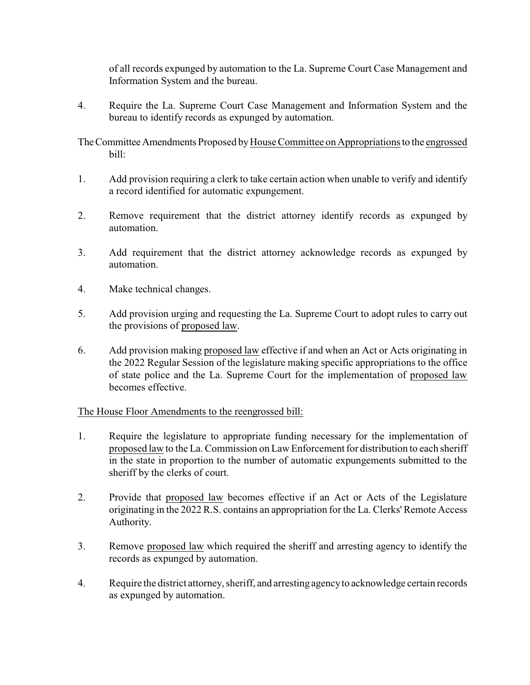of all records expunged by automation to the La. Supreme Court Case Management and Information System and the bureau.

4. Require the La. Supreme Court Case Management and Information System and the bureau to identify records as expunged by automation.

TheCommitteeAmendments Proposed byHouse Committee on Appropriations to the engrossed bill:

- 1. Add provision requiring a clerk to take certain action when unable to verify and identify a record identified for automatic expungement.
- 2. Remove requirement that the district attorney identify records as expunged by automation.
- 3. Add requirement that the district attorney acknowledge records as expunged by automation.
- 4. Make technical changes.
- 5. Add provision urging and requesting the La. Supreme Court to adopt rules to carry out the provisions of proposed law.
- 6. Add provision making proposed law effective if and when an Act or Acts originating in the 2022 Regular Session of the legislature making specific appropriations to the office of state police and the La. Supreme Court for the implementation of proposed law becomes effective.

## The House Floor Amendments to the reengrossed bill:

- 1. Require the legislature to appropriate funding necessary for the implementation of proposed law to the La. Commission on Law Enforcement for distribution to each sheriff in the state in proportion to the number of automatic expungements submitted to the sheriff by the clerks of court.
- 2. Provide that proposed law becomes effective if an Act or Acts of the Legislature originating in the 2022 R.S. contains an appropriation for the La. Clerks' Remote Access Authority.
- 3. Remove proposed law which required the sheriff and arresting agency to identify the records as expunged by automation.
- 4. Require the district attorney, sheriff, and arresting agencyto acknowledge certain records as expunged by automation.